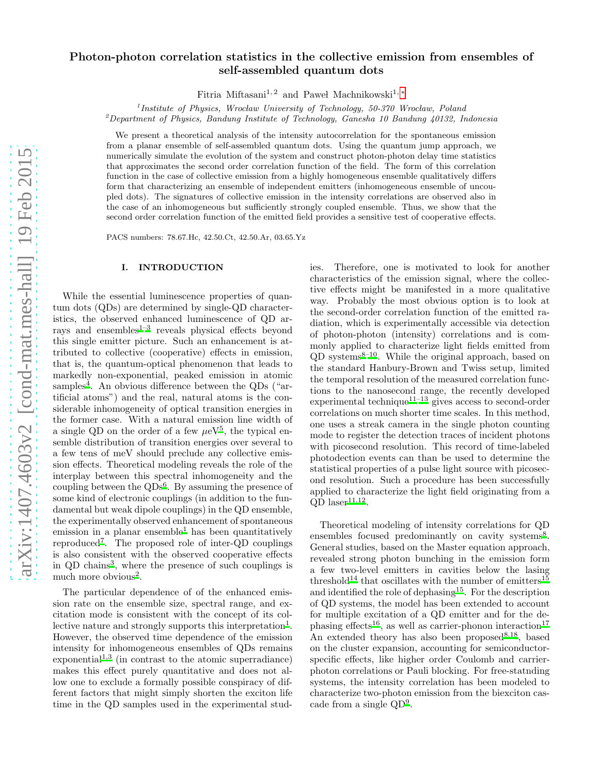# Photon-photon correlation statistics in the collective emission from ensembles of self-assembled quantum dots

Fitria Miftasani<sup>1, 2</sup> and Paweł Machnikowski<sup>1, [∗](#page-8-0)</sup>

 $1$ Institute of Physics, Wrocław University of Technology, 50-370 Wrocław, Poland

<sup>2</sup>Department of Physics, Bandung Institute of Technology, Ganesha 10 Bandung 40132, Indonesia

We present a theoretical analysis of the intensity autocorrelation for the spontaneous emission from a planar ensemble of self-assembled quantum dots. Using the quantum jump approach, we numerically simulate the evolution of the system and construct photon-photon delay time statistics that approximates the second order correlation function of the field. The form of this correlation function in the case of collective emission from a highly homogeneous ensemble qualitatively differs form that characterizing an ensemble of independent emitters (inhomogeneous ensemble of uncoupled dots). The signatures of collective emission in the intensity correlations are observed also in the case of an inhomogeneous but sufficiently strongly coupled ensemble. Thus, we show that the second order correlation function of the emitted field provides a sensitive test of cooperative effects.

PACS numbers: 78.67.Hc, 42.50.Ct, 42.50.Ar, 03.65.Yz

### I. INTRODUCTION

While the essential luminescence properties of quantum dots (QDs) are determined by single-QD characteristics, the observed enhanced luminescence of QD ar-rays and ensembles<sup>[1](#page-8-1)-3</sup> reveals physical effects beyond this single emitter picture. Such an enhancement is attributed to collective (cooperative) effects in emission, that is, the quantum-optical phenomenon that leads to markedly non-exponential, peaked emission in atomic samples<sup>[4](#page-8-3)</sup>. An obvious difference between the QDs ("artificial atoms") and the real, natural atoms is the considerable inhomogeneity of optical transition energies in the former case. With a natural emission line width of a single QD on the order of a few  $\mu$ eV<sup>[5](#page-8-4)</sup>, the typical ensemble distribution of transition energies over several to a few tens of meV should preclude any collective emission effects. Theoretical modeling reveals the role of the interplay between this spectral inhomogeneity and the coupling between the  $QDs^6$  $QDs^6$ . By assuming the presence of some kind of electronic couplings (in addition to the fundamental but weak dipole couplings) in the QD ensemble, the experimentally observed enhancement of spontaneous emission in a planar ensemble<sup>[1](#page-8-1)</sup> has been quantitatively reproduced[7](#page-8-6) . The proposed role of inter-QD couplings is also consistent with the observed cooperative effects in QD chains<sup>[3](#page-8-2)</sup>, where the presence of such couplings is much more obvious<sup>[2](#page-8-7)</sup>.

The particular dependence of of the enhanced emission rate on the ensemble size, spectral range, and excitation mode is consistent with the concept of its col-lective nature and strongly supports this interpretation<sup>[1](#page-8-1)</sup>. However, the observed time dependence of the emission intensity for inhomogeneous ensembles of QDs remains exponentia[l](#page-8-1)<sup>1[,3](#page-8-2)</sup> (in contrast to the atomic superradiance) makes this effect purely quantitative and does not allow one to exclude a formally possible conspiracy of different factors that might simply shorten the exciton life time in the QD samples used in the experimental studies. Therefore, one is motivated to look for another characteristics of the emission signal, where the collective effects might be manifested in a more qualitative way. Probably the most obvious option is to look at the second-order correlation function of the emitted radiation, which is experimentally accessible via detection of photon-photon (intensity) correlations and is commonly applied to characterize light fields emitted from  $QD$  systems<sup>[8](#page-8-8)[–10](#page-8-9)</sup>. While the original approach, based on the standard Hanbury-Brown and Twiss setup, limited the temporal resolution of the measured correlation functions to the nanosecond range, the recently developed experimental technique<sup>[11](#page-8-10)[–13](#page-8-11)</sup> gives access to second-order correlations on much shorter time scales. In this method, one uses a streak camera in the single photon counting mode to register the detection traces of incident photons with picosecond resolution. This record of time-labeled photodection events can than be used to determine the statistical properties of a pulse light source with picosecond resolution. Such a procedure has been successfully applied to characterize the light field originating from a  $QD$  laser<sup>[11](#page-8-10)[,12](#page-8-12)</sup>.

Theoretical modeling of intensity correlations for QD ensembles focused predominantly on cavity systems<sup>[8](#page-8-8)</sup>. General studies, based on the Master equation approach, revealed strong photon bunching in the emission form a few two-level emitters in cavities below the lasing threshold<sup>[14](#page-8-13)</sup> that oscillates with the number of emitters<sup>[15](#page-8-14)</sup> and identified the role of dephasing<sup>[15](#page-8-14)</sup>. For the description of QD systems, the model has been extended to account for multiple excitation of a QD emitter and for the de-phasing effects<sup>[16](#page-8-15)</sup>, as well as carrier-phonon interaction<sup>[17](#page-8-16)</sup> An extended theory has also been proposed  $8,18$  $8,18$ , based on the cluster expansion, accounting for semiconductorspecific effects, like higher order Coulomb and carrierphoton correlations or Pauli blocking. For free-statnding systems, the intensity correlation has been modeled to characterize two-photon emission from the biexciton cascade from a single QD[9](#page-8-18) .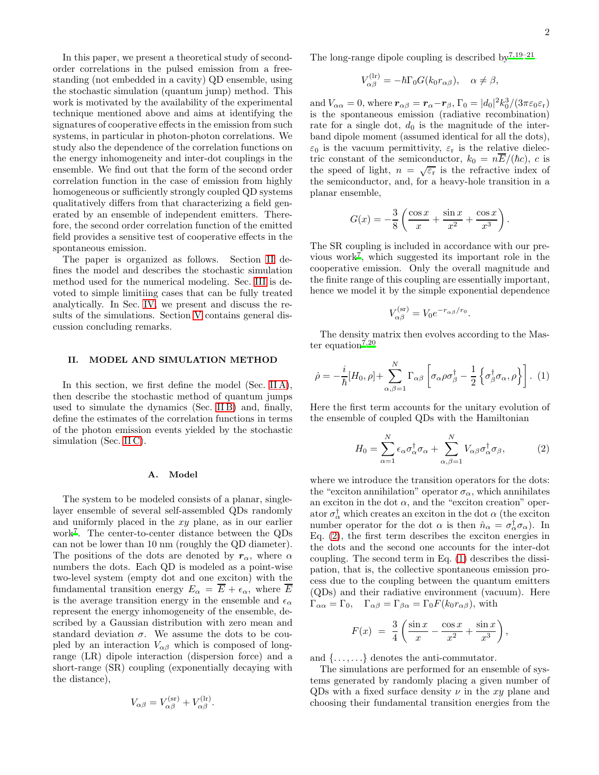In this paper, we present a theoretical study of secondorder correlations in the pulsed emission from a freestanding (not embedded in a cavity) QD ensemble, using the stochastic simulation (quantum jump) method. This work is motivated by the availability of the experimental technique mentioned above and aims at identifying the signatures of cooperative effects in the emission from such systems, in particular in photon-photon correlations. We study also the dependence of the correlation functions on the energy inhomogeneity and inter-dot couplings in the ensemble. We find out that the form of the second order correlation function in the case of emission from highly homogeneous or sufficiently strongly coupled QD systems qualitatively differs from that characterizing a field generated by an ensemble of independent emitters. Therefore, the second order correlation function of the emitted field provides a sensitive test of cooperative effects in the spontaneous emission.

The paper is organized as follows. Section [II](#page-1-0) defines the model and describes the stochastic simulation method used for the numerical modeling. Sec. [III](#page-3-0) is devoted to simple limitiing cases that can be fully treated analytically. In Sec. [IV,](#page-4-0) we present and discuss the results of the simulations. Section [V](#page-7-0) contains general discussion concluding remarks.

## <span id="page-1-0"></span>II. MODEL AND SIMULATION METHOD

In this section, we first define the model (Sec. IIA), then describe the stochastic method of quantum jumps used to simulate the dynamics (Sec. [II B\)](#page-2-0) and, finally, define the estimates of the correlation functions in terms of the photon emission events yielded by the stochastic simulation (Sec. [II C\)](#page-2-1).

#### <span id="page-1-1"></span>A. Model

The system to be modeled consists of a planar, singlelayer ensemble of several self-assembled QDs randomly and uniformly placed in the xy plane, as in our earlier work[7](#page-8-6) . The center-to-center distance between the QDs can not be lower than 10 nm (roughly the QD diameter). The positions of the dots are denoted by  $r_{\alpha}$ , where  $\alpha$ numbers the dots. Each QD is modeled as a point-wise two-level system (empty dot and one exciton) with the fundamental transition energy  $E_{\alpha} = \overline{E} + \epsilon_{\alpha}$ , where  $\overline{E}$ is the average transition energy in the ensemble and  $\epsilon_{\alpha}$ represent the energy inhomogeneity of the ensemble, described by a Gaussian distribution with zero mean and standard deviation  $\sigma$ . We assume the dots to be coupled by an interaction  $V_{\alpha\beta}$  which is composed of longrange (LR) dipole interaction (dispersion force) and a short-range (SR) coupling (exponentially decaying with the distance),

$$
V_{\alpha\beta} = V_{\alpha\beta}^{(\rm sr)} + V_{\alpha\beta}^{(\rm lr)}.
$$

The long-range dipole coupling is described by  $7,19-21$  $7,19-21$  $7,19-21$ 

$$
V_{\alpha\beta}^{(\text{lr})} = -\hbar\Gamma_0 G(k_0 r_{\alpha\beta}), \quad \alpha \neq \beta,
$$

and  $V_{\alpha\alpha} = 0$ , where  $\mathbf{r}_{\alpha\beta} = \mathbf{r}_{\alpha} - \mathbf{r}_{\beta}$ ,  $\Gamma_0 = |d_0|^2 k_0^3 / (3\pi \varepsilon_0 \varepsilon_r)$ is the spontaneous emission (radiative recombination) rate for a single dot,  $d_0$  is the magnitude of the interband dipole moment (assumed identical for all the dots),  $\varepsilon_0$  is the vacuum permittivity,  $\varepsilon_r$  is the relative dielectric constant of the semiconductor,  $k_0 = n\overline{E}/(\hbar c)$ , c is the speed of light,  $n = \sqrt{\varepsilon_{\text{r}}}$  is the refractive index of the semiconductor, and, for a heavy-hole transition in a planar ensemble,

$$
G(x) = -\frac{3}{8} \left( \frac{\cos x}{x} + \frac{\sin x}{x^2} + \frac{\cos x}{x^3} \right).
$$

The SR coupling is included in accordance with our previous work[7](#page-8-6) , which suggested its important role in the cooperative emission. Only the overall magnitude and the finite range of this coupling are essentially important, hence we model it by the simple exponential dependence

$$
V_{\alpha\beta}^{(\rm sr)} = V_0 e^{-r_{\alpha\beta}/r_0}.
$$

The density matrix then evolves according to the Mas-ter equation<sup>[7](#page-8-6)[,20](#page-8-21)</sup>

<span id="page-1-3"></span>
$$
\dot{\rho} = -\frac{i}{\hbar} [H_0, \rho] + \sum_{\alpha, \beta=1}^N \Gamma_{\alpha\beta} \left[ \sigma_\alpha \rho \sigma_\beta^\dagger - \frac{1}{2} \left\{ \sigma_\beta^\dagger \sigma_\alpha, \rho \right\} \right]. \tag{1}
$$

Here the first term accounts for the unitary evolution of the ensemble of coupled QDs with the Hamiltonian

<span id="page-1-2"></span>
$$
H_0 = \sum_{\alpha=1}^N \epsilon_\alpha \sigma_\alpha^\dagger \sigma_\alpha + \sum_{\alpha,\beta=1}^N V_{\alpha\beta} \sigma_\alpha^\dagger \sigma_\beta, \tag{2}
$$

where we introduce the transition operators for the dots: the "exciton annihilation" operator  $\sigma_{\alpha}$ , which annihilates an exciton in the dot  $\alpha$ , and the "exciton creation" operator  $\sigma_{\alpha}^{\dagger}$  which creates an exciton in the dot  $\alpha$  (the exciton number operator for the dot  $\alpha$  is then  $\hat{n}_{\alpha} = \sigma_{\alpha}^{\dagger} \sigma_{\alpha}$ . In Eq. [\(2\)](#page-1-2), the first term describes the exciton energies in the dots and the second one accounts for the inter-dot coupling. The second term in Eq. [\(1\)](#page-1-3) describes the dissipation, that is, the collective spontaneous emission process due to the coupling between the quantum emitters (QDs) and their radiative environment (vacuum). Here  $\Gamma_{\alpha\alpha} = \Gamma_0$ ,  $\Gamma_{\alpha\beta} = \Gamma_{\beta\alpha} = \Gamma_0 F(k_0 r_{\alpha\beta})$ , with

$$
F(x) = \frac{3}{4} \left( \frac{\sin x}{x} - \frac{\cos x}{x^2} + \frac{\sin x}{x^3} \right),
$$

and  $\{\ldots,\ldots\}$  denotes the anti-commutator.

The simulations are performed for an ensemble of systems generated by randomly placing a given number of QDs with a fixed surface density  $\nu$  in the xy plane and choosing their fundamental transition energies from the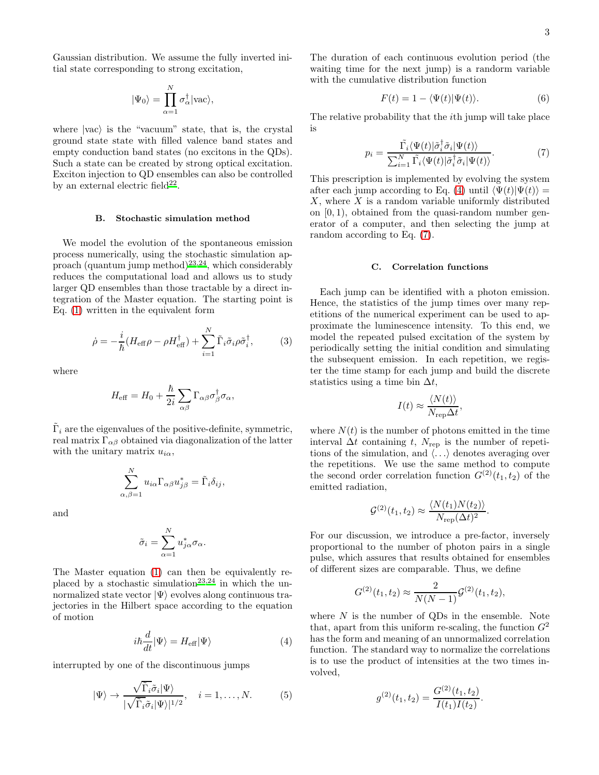Gaussian distribution. We assume the fully inverted initial state corresponding to strong excitation,

$$
|\Psi_0\rangle=\prod_{\alpha=1}^N\sigma_\alpha^\dagger|{\rm vac}\rangle,
$$

where  $|vac\rangle$  is the "vacuum" state, that is, the crystal ground state state with filled valence band states and empty conduction band states (no excitons in the QDs). Such a state can be created by strong optical excitation. Exciton injection to QD ensembles can also be controlled by an external electric field<sup>[22](#page-8-22)</sup>.

#### <span id="page-2-0"></span>B. Stochastic simulation method

We model the evolution of the spontaneous emission process numerically, using the stochastic simulation ap-proach (quantum jump method)<sup>[23](#page-8-23)[,24](#page-8-24)</sup>, which considerably reduces the computational load and allows us to study larger QD ensembles than those tractable by a direct integration of the Master equation. The starting point is Eq. [\(1\)](#page-1-3) written in the equivalent form

$$
\dot{\rho} = -\frac{i}{\hbar} (H_{\text{eff}}\rho - \rho H_{\text{eff}}^{\dagger}) + \sum_{i=1}^{N} \tilde{\Gamma}_{i} \tilde{\sigma}_{i} \rho \tilde{\sigma}_{i}^{\dagger}, \tag{3}
$$

where

$$
H_{\text{eff}} = H_0 + \frac{\hbar}{2i} \sum_{\alpha\beta} \Gamma_{\alpha\beta} \sigma_{\beta}^{\dagger} \sigma_{\alpha},
$$

 $\tilde{\Gamma}_i$  are the eigenvalues of the positive-definite, symmetric, real matrix  $\Gamma_{\alpha\beta}$  obtained via diagonalization of the latter with the unitary matrix  $u_{i\alpha}$ ,

$$
\sum_{\alpha,\beta=1}^N u_{i\alpha} \Gamma_{\alpha\beta} u^*_{j\beta} = \tilde{\Gamma}_i \delta_{ij},
$$

and

$$
\tilde{\sigma}_i = \sum_{\alpha=1}^N u_{j\alpha}^* \sigma_\alpha.
$$

The Master equation [\(1\)](#page-1-3) can then be equivalently re-placed by a stochastic simulation<sup>[23](#page-8-23)[,24](#page-8-24)</sup> in which the unnormalized state vector  $|\Psi\rangle$  evolves along continuous trajectories in the Hilbert space according to the equation of motion

<span id="page-2-2"></span>
$$
i\hbar \frac{d}{dt} |\Psi\rangle = H_{\text{eff}} |\Psi\rangle \tag{4}
$$

interrupted by one of the discontinuous jumps

<span id="page-2-4"></span>
$$
|\Psi\rangle \to \frac{\sqrt{\tilde{\Gamma}_i}\tilde{\sigma}_i|\Psi\rangle}{|\sqrt{\tilde{\Gamma}_i}\tilde{\sigma}_i|\Psi\rangle|^{1/2}}, \quad i = 1, \dots, N. \tag{5}
$$

The duration of each continuous evolution period (the waiting time for the next jump) is a randorm variable with the cumulative distribution function

<span id="page-2-5"></span>
$$
F(t) = 1 - \langle \Psi(t) | \Psi(t) \rangle.
$$
 (6)

The relative probability that the ith jump will take place is

<span id="page-2-3"></span>
$$
p_i = \frac{\tilde{\Gamma}_i \langle \Psi(t) | \tilde{\sigma}_i^{\dagger} \tilde{\sigma}_i | \Psi(t) \rangle}{\sum_{i=1}^N \tilde{\Gamma}_i \langle \Psi(t) | \tilde{\sigma}_i^{\dagger} \tilde{\sigma}_i | \Psi(t) \rangle}.
$$
(7)

This prescription is implemented by evolving the system after each jump according to Eq. [\(4\)](#page-2-2) until  $\langle \Psi(t)|\Psi(t)\rangle =$  $X$ , where  $X$  is a random variable uniformly distributed on  $[0, 1)$ , obtained from the quasi-random number generator of a computer, and then selecting the jump at random according to Eq. [\(7\)](#page-2-3).

### <span id="page-2-1"></span>C. Correlation functions

Each jump can be identified with a photon emission. Hence, the statistics of the jump times over many repetitions of the numerical experiment can be used to approximate the luminescence intensity. To this end, we model the repeated pulsed excitation of the system by periodically setting the initial condition and simulating the subsequent emission. In each repetition, we register the time stamp for each jump and build the discrete statistics using a time bin  $\Delta t$ ,

$$
I(t) \approx \frac{\langle N(t) \rangle}{N_{\rm rep} \Delta t},
$$

where  $N(t)$  is the number of photons emitted in the time interval  $\Delta t$  containing t,  $N_{\text{rep}}$  is the number of repetitions of the simulation, and  $\langle \ldots \rangle$  denotes averaging over the repetitions. We use the same method to compute the second order correlation function  $G^{(2)}(t_1, t_2)$  of the emitted radiation,

$$
\mathcal{G}^{(2)}(t_1, t_2) \approx \frac{\langle N(t_1)N(t_2) \rangle}{N_{\text{rep}}(\Delta t)^2}.
$$

For our discussion, we introduce a pre-factor, inversely proportional to the number of photon pairs in a single pulse, which assures that results obtained for ensembles of different sizes are comparable. Thus, we define

$$
G^{(2)}(t_1, t_2) \approx \frac{2}{N(N-1)} \mathcal{G}^{(2)}(t_1, t_2),
$$

where  $N$  is the number of QDs in the ensemble. Note that, apart from this uniform re-scaling, the function  $G<sup>2</sup>$ has the form and meaning of an unnormalized correlation function. The standard way to normalize the correlations is to use the product of intensities at the two times involved,

$$
g^{(2)}(t_1, t_2) = \frac{G^{(2)}(t_1, t_2)}{I(t_1)I(t_2)}.
$$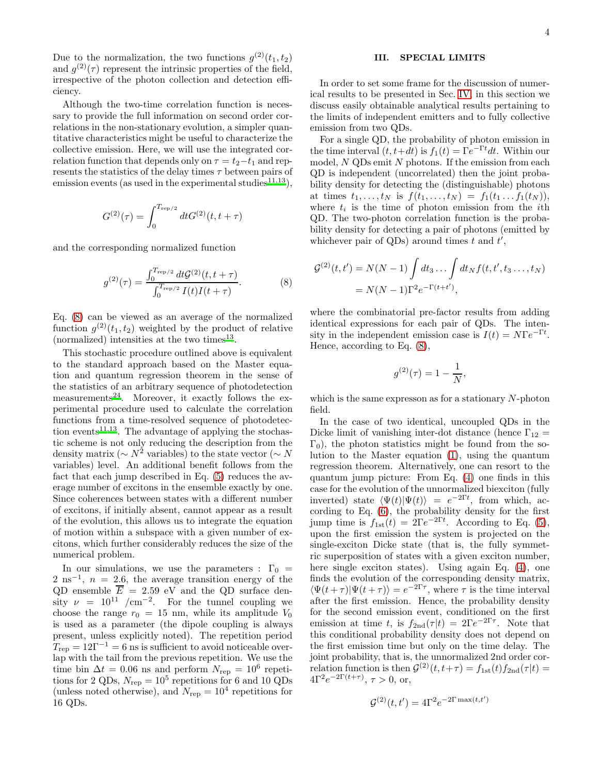Due to the normalization, the two functions  $g^{(2)}(t_1, t_2)$ and  $g^{(2)}(\tau)$  represent the intrinsic properties of the field, irrespective of the photon collection and detection efficiency.

Although the two-time correlation function is necessary to provide the full information on second order correlations in the non-stationary evolution, a simpler quantitative characteristics might be useful to characterize the collective emission. Here, we will use the integrated correlation function that depends only on  $\tau = t_2 - t_1$  and represents the statistics of the delay times  $\tau$  between pairs of emission events (as used in the experimental studies<sup>[11](#page-8-10)[,13](#page-8-11)</sup>),

$$
G^{(2)}(\tau) = \int_0^{T_{\rm rep/2}} dt G^{(2)}(t, t + \tau)
$$

and the corresponding normalized function

<span id="page-3-1"></span>
$$
g^{(2)}(\tau) = \frac{\int_0^{T_{\rm rep/2}} dt \mathcal{G}^{(2)}(t, t + \tau)}{\int_0^{T_{\rm rep/2}} I(t)I(t + \tau)}.
$$
 (8)

Eq. [\(8\)](#page-3-1) can be viewed as an average of the normalized function  $g^{(2)}(t_1, t_2)$  weighted by the product of relative (normalized) intensities at the two times $^{13}$  $^{13}$  $^{13}$ .

This stochastic procedure outlined above is equivalent to the standard approach based on the Master equation and quantum regression theorem in the sense of the statistics of an arbitrary sequence of photodetection measurements<sup>[24](#page-8-24)</sup>. Moreover, it exactly follows the experimental procedure used to calculate the correlation functions from a time-resolved sequence of photodetec-tion events<sup>[11](#page-8-10)[,13](#page-8-11)</sup>. The advantage of applying the stochastic scheme is not only reducing the description from the density matrix ( $\sim N^2$  variables) to the state vector ( $\sim N$ variables) level. An additional benefit follows from the fact that each jump described in Eq. [\(5\)](#page-2-4) reduces the average number of excitons in the ensemble exactly by one. Since coherences between states with a different number of excitons, if initially absent, cannot appear as a result of the evolution, this allows us to integrate the equation of motion within a subspace with a given number of excitons, which further considerably reduces the size of the numerical problem.

In our simulations, we use the parameters :  $\Gamma_0$  =  $2 \text{ ns}^{-1}$ ,  $n = 2.6$ , the average transition energy of the QD ensemble  $\overline{E} = 2.59$  eV and the QD surface density  $\nu = 10^{11}$  /cm<sup>-2</sup>. For the tunnel coupling we choose the range  $r_0 = 15$  nm, while its amplitude  $V_0$ is used as a parameter (the dipole coupling is always present, unless explicitly noted). The repetition period  $T_{\text{rep}} = 12\Gamma^{-1} = 6$  ns is sufficient to avoid noticeable overlap with the tail from the previous repetition. We use the time bin  $\Delta t = 0.06$  ns and perform  $N_{\text{rep}} = 10^6$  repetitions for 2 QDs,  $N_{\text{rep}} = 10^5$  repetitions for 6 and 10 QDs (unless noted otherwise), and  $N_{\text{rep}} = 10^4$  repetitions for 16 QDs.

# <span id="page-3-0"></span>III. SPECIAL LIMITS

In order to set some frame for the discussion of numerical results to be presented in Sec. [IV,](#page-4-0) in this section we discuss easily obtainable analytical results pertaining to the limits of independent emitters and to fully collective emission from two QDs.

For a single QD, the probability of photon emission in the time interval  $(t, t+dt)$  is  $f_1(t) = \Gamma e^{-\Gamma t} dt$ . Within our model,  $N$  QDs emit  $N$  photons. If the emission from each QD is independent (uncorrelated) then the joint probability density for detecting the (distinguishable) photons at times  $t_1, \ldots, t_N$  is  $f(t_1, \ldots, t_N) = f_1(t_1 \ldots f_1(t_N)),$ where  $t_i$  is the time of photon emission from the *i*th QD. The two-photon correlation function is the probability density for detecting a pair of photons (emitted by whichever pair of QDs) around times t and  $t'$ ,

$$
\mathcal{G}^{(2)}(t, t') = N(N - 1) \int dt_3 \dots \int dt_N f(t, t', t_3 \dots, t_N)
$$
  
=  $N(N - 1)\Gamma^2 e^{-\Gamma(t + t')}$ ,

where the combinatorial pre-factor results from adding identical expressions for each pair of QDs. The intensity in the independent emission case is  $I(t) = N\Gamma e^{-\Gamma t}$ . Hence, according to Eq. [\(8\)](#page-3-1),

$$
g^{(2)}(\tau) = 1 - \frac{1}{N},
$$

which is the same expresson as for a stationary  $N$ -photon field.

In the case of two identical, uncoupled QDs in the Dicke limit of vanishing inter-dot distance (hence  $\Gamma_{12} =$  $\Gamma_0$ ), the photon statistics might be found from the solution to the Master equation [\(1\)](#page-1-3), using the quantum regression theorem. Alternatively, one can resort to the quantum jump picture: From Eq. [\(4\)](#page-2-2) one finds in this case for the evolution of the unnormalized biexciton (fully inverted) state  $\langle \Psi(t) | \Psi(t) \rangle = e^{-2\Gamma t}$ , from which, according to Eq. [\(6\)](#page-2-5), the probability density for the first jump time is  $f_{1st}(t) = 2\Gamma e^{-2\Gamma t}$ . According to Eq. [\(5\)](#page-2-4), upon the first emission the system is projected on the single-exciton Dicke state (that is, the fully symmetric superposition of states with a given exciton number, here single exciton states). Using again Eq. [\(4\)](#page-2-2), one finds the evolution of the corresponding density matrix,  $\langle \Psi(t+\tau)|\Psi(t+\tau)\rangle = e^{-2\Gamma\tau}$ , where  $\tau$  is the time interval after the first emission. Hence, the probability density for the second emission event, conditioned on the first emission at time t, is  $f_{2nd}(\tau|t) = 2\Gamma e^{-2\Gamma \tau}$ . Note that this conditional probability density does not depend on the first emission time but only on the time delay. The joint probability, that is, the unnormalized 2nd order correlation function is then  $\mathcal{G}^{(2)}(t,t+\tau) = f_{1st}(t)f_{2nd}(\tau|t) =$  $4\Gamma^2 e^{-2\Gamma(t+\tau)}, \tau > 0$ , or,

$$
\mathcal{G}^{(2)}(t,t') = 4\Gamma^2 e^{-2\Gamma \max(t,t')}
$$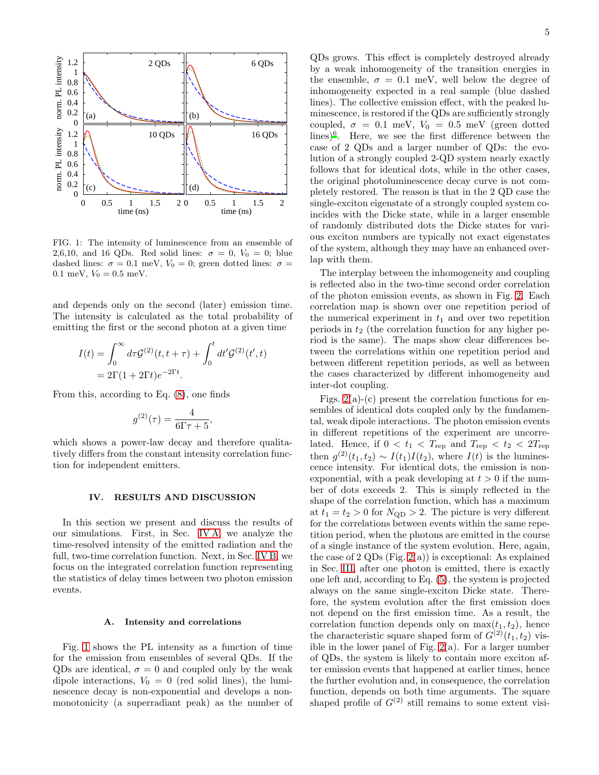

<span id="page-4-2"></span>FIG. 1: The intensity of luminescence from an ensemble of 2,6,10, and 16 QDs. Red solid lines:  $\sigma = 0$ ,  $V_0 = 0$ ; blue dashed lines:  $\sigma = 0.1$  meV,  $V_0 = 0$ ; green dotted lines:  $\sigma =$ 0.1 meV,  $V_0 = 0.5$  meV.

and depends only on the second (later) emission time. The intensity is calculated as the total probability of emitting the first or the second photon at a given time

$$
I(t) = \int_0^\infty d\tau \mathcal{G}^{(2)}(t, t + \tau) + \int_0^t dt' \mathcal{G}^{(2)}(t', t)
$$
  
=  $2\Gamma(1 + 2\Gamma t)e^{-2\Gamma t}$ .

From this, according to Eq. [\(8\)](#page-3-1), one finds

$$
g^{(2)}(\tau) = \frac{4}{6\Gamma\tau + 5},
$$

which shows a power-law decay and therefore qualitatively differs from the constant intensity correlation function for independent emitters.

### <span id="page-4-0"></span>IV. RESULTS AND DISCUSSION

In this section we present and discuss the results of our simulations. First, in Sec. [IV A,](#page-4-1) we analyze the time-resolved intensity of the emitted radiation and the full, two-time correlation function. Next, in Sec. [IV B,](#page-5-0) we focus on the integrated correlation function representing the statistics of delay times between two photon emission events.

### <span id="page-4-1"></span>A. Intensity and correlations

Fig. [1](#page-4-2) shows the PL intensity as a function of time for the emission from ensembles of several QDs. If the QDs are identical,  $\sigma = 0$  and coupled only by the weak dipole interactions,  $V_0 = 0$  (red solid lines), the luminescence decay is non-exponential and develops a nonmonotonicity (a superradiant peak) as the number of

QDs grows. This effect is completely destroyed already by a weak inhomogeneity of the transition energies in the ensemble,  $\sigma = 0.1$  meV, well below the degree of inhomogeneity expected in a real sample (blue dashed lines). The collective emission effect, with the peaked luminescence, is restored if the QDs are sufficiently strongly coupled,  $\sigma = 0.1$  meV,  $V_0 = 0.5$  meV (green dotted lines[\)](#page-8-5)<sup>6</sup> . Here, we see the first difference between the case of 2 QDs and a larger number of QDs: the evolution of a strongly coupled 2-QD system nearly exactly follows that for identical dots, while in the other cases, the original photoluminescence decay curve is not completely restored. The reason is that in the 2 QD case the single-exciton eigenstate of a strongly coupled system coincides with the Dicke state, while in a larger ensemble of randomly distributed dots the Dicke states for various exciton numbers are typically not exact eigenstates of the system, although they may have an enhanced over-

The interplay between the inhomogeneity and coupling is reflected also in the two-time second order correlation of the photon emission events, as shown in Fig. [2.](#page-5-1) Each correlation map is shown over one repetition period of the numerical experiment in  $t_1$  and over two repetition periods in  $t_2$  (the correlation function for any higher period is the same). The maps show clear differences between the correlations within one repetition period and between different repetition periods, as well as between the cases characterized by different inhomogeneity and inter-dot coupling.

lap with them.

Figs.  $2(a)-(c)$  present the correlation functions for ensembles of identical dots coupled only by the fundamental, weak dipole interactions. The photon emission events in different repetitions of the experiment are uncorrelated. Hence, if  $0 < t_1 < T_{\text{rep}}$  and  $T_{\text{rep}} < t_2 < 2T_{\text{rep}}$ then  $g^{(2)}(t_1, t_2) \sim I(t_1)I(t_2)$ , where  $I(t)$  is the luminescence intensity. For identical dots, the emission is nonexponential, with a peak developing at  $t > 0$  if the number of dots exceeds 2. This is simply reflected in the shape of the correlation function, which has a maximum at  $t_1 = t_2 > 0$  for  $N_{\rm QD} > 2$ . The picture is very different for the correlations between events within the same repetition period, when the photons are emitted in the course of a single instance of the system evolution. Here, again, the case of 2 QDs (Fig.  $2(a)$ ) is exceptional: As explained in Sec. [III,](#page-3-0) after one photon is emitted, there is exactly one left and, according to Eq. [\(5\)](#page-2-4), the system is projected always on the same single-exciton Dicke state. Therefore, the system evolution after the first emission does not depend on the first emission time. As a result, the correlation function depends only on  $\max(t_1, t_2)$ , hence the characteristic square shaped form of  $G^{(2)}(t_1, t_2)$  visible in the lower panel of Fig.  $2(a)$ . For a larger number of QDs, the system is likely to contain more exciton after emission events that happened at earlier times, hence the further evolution and, in consequence, the correlation function, depends on both time arguments. The square shaped profile of  $G^{(2)}$  still remains to some extent visi-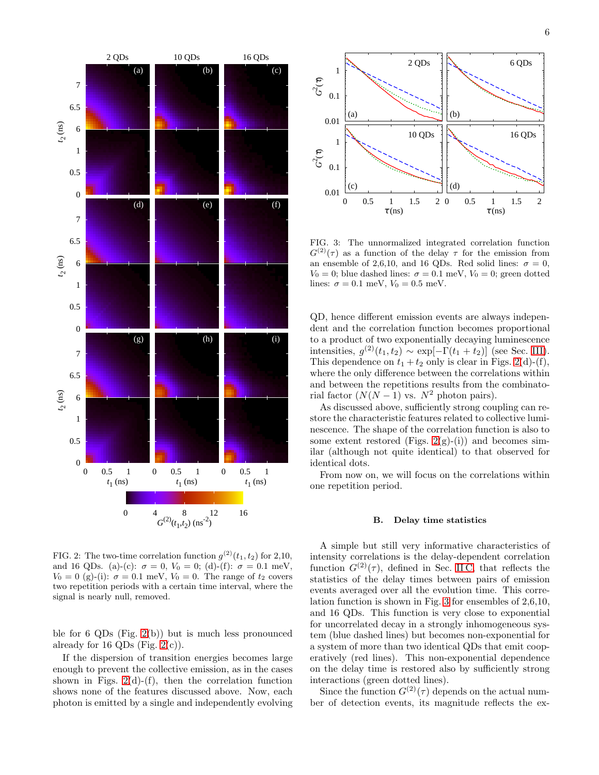

<span id="page-5-1"></span>FIG. 2: The two-time correlation function  $g^{(2)}(t_1, t_2)$  for 2,10, and 16 QDs. (a)-(c):  $\sigma = 0$ ,  $V_0 = 0$ ; (d)-(f):  $\sigma = 0.1$  meV,  $V_0 = 0$  (g)-(i):  $\sigma = 0.1$  meV,  $V_0 = 0$ . The range of  $t_2$  covers two repetition periods with a certain time interval, where the signal is nearly null, removed.

ble for 6 QDs (Fig. [2\(](#page-5-1)b)) but is much less pronounced already for 16 QDs (Fig.  $2(c)$ ).

If the dispersion of transition energies becomes large enough to prevent the collective emission, as in the cases shown in Figs.  $2(d)-(f)$ , then the correlation function shows none of the features discussed above. Now, each photon is emitted by a single and independently evolving



<span id="page-5-2"></span>FIG. 3: The unnormalized integrated correlation function  $G^{(2)}(\tau)$  as a function of the delay  $\tau$  for the emission from an ensemble of 2,6,10, and 16 QDs. Red solid lines:  $\sigma = 0$ ,  $V_0 = 0$ ; blue dashed lines:  $\sigma = 0.1$  meV,  $V_0 = 0$ ; green dotted lines:  $\sigma = 0.1$  meV,  $V_0 = 0.5$  meV.

QD, hence different emission events are always independent and the correlation function becomes proportional to a product of two exponentially decaying luminescence intensities,  $g^{(2)}(t_1, t_2) \sim \exp[-\Gamma(t_1 + t_2)]$  (see Sec. [III\)](#page-3-0). This dependence on  $t_1 + t_2$  only is clear in Figs. [2\(](#page-5-1)d)-(f), where the only difference between the correlations within and between the repetitions results from the combinatorial factor  $(N(N-1)$  vs.  $N^2$  photon pairs).

As discussed above, sufficiently strong coupling can restore the characteristic features related to collective luminescence. The shape of the correlation function is also to some extent restored (Figs. [2\(](#page-5-1)g)-(i)) and becomes similar (although not quite identical) to that observed for identical dots.

From now on, we will focus on the correlations within one repetition period.

# <span id="page-5-0"></span>B. Delay time statistics

A simple but still very informative characteristics of intensity correlations is the delay-dependent correlation function  $G^{(2)}(\tau)$ , defined in Sec. [II C,](#page-2-1) that reflects the statistics of the delay times between pairs of emission events averaged over all the evolution time. This correlation function is shown in Fig. [3](#page-5-2) for ensembles of 2,6,10, and 16 QDs. This function is very close to exponential for uncorrelated decay in a strongly inhomogeneous system (blue dashed lines) but becomes non-exponential for a system of more than two identical QDs that emit cooperatively (red lines). This non-exponential dependence on the delay time is restored also by sufficiently strong interactions (green dotted lines).

Since the function  $G^{(2)}(\tau)$  depends on the actual number of detection events, its magnitude reflects the ex-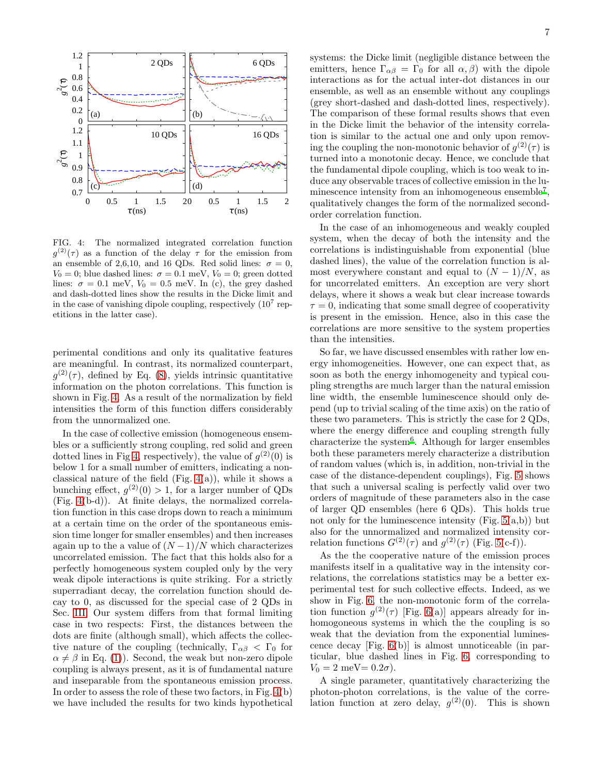

<span id="page-6-0"></span>FIG. 4: The normalized integrated correlation function  $g^{(2)}(\tau)$  as a function of the delay  $\tau$  for the emission from an ensemble of 2,6,10, and 16 QDs. Red solid lines:  $\sigma = 0$ ,  $V_0 = 0$ ; blue dashed lines:  $\sigma = 0.1$  meV,  $V_0 = 0$ ; green dotted lines:  $\sigma = 0.1$  meV,  $V_0 = 0.5$  meV. In (c), the grey dashed and dash-dotted lines show the results in the Dicke limit and in the case of vanishing dipole coupling, respectively  $(10^7 \text{ rep}$ etitions in the latter case).

perimental conditions and only its qualitative features are meaningful. In contrast, its normalized counterpart,  $g^{(2)}(\tau)$ , defined by Eq. [\(8\)](#page-3-1), yields intrinsic quantitative information on the photon correlations. This function is shown in Fig. [4.](#page-6-0) As a result of the normalization by field intensities the form of this function differs considerably from the unnormalized one.

In the case of collective emission (homogeneous ensembles or a sufficiently strong coupling, red solid and green dotted lines in Fig [4,](#page-6-0) respectively), the value of  $g^{(2)}(0)$  is below 1 for a small number of emitters, indicating a nonclassical nature of the field (Fig.  $4(a)$ ), while it shows a bunching effect,  $g^{(2)}(0) > 1$ , for a larger number of QDs (Fig. [4\(](#page-6-0)b-d)). At finite delays, the normalized correlation function in this case drops down to reach a minimum at a certain time on the order of the spontaneous emission time longer for smaller ensembles) and then increases again up to the a value of  $(N-1)/N$  which characterizes uncorrelated emission. The fact that this holds also for a perfectly homogeneous system coupled only by the very weak dipole interactions is quite striking. For a strictly superradiant decay, the correlation function should decay to 0, as discussed for the special case of 2 QDs in Sec. [III.](#page-3-0) Our system differs from that formal limiting case in two respects: First, the distances between the dots are finite (although small), which affects the collective nature of the coupling (technically,  $\Gamma_{\alpha\beta} < \Gamma_0$  for  $\alpha \neq \beta$  in Eq. [\(1\)](#page-1-3)). Second, the weak but non-zero dipole coupling is always present, as it is of fundamental nature and inseparable from the spontaneous emission process. In order to assess the role of these two factors, in Fig. [4\(](#page-6-0)b) we have included the results for two kinds hypothetical systems: the Dicke limit (negligible distance between the emitters, hence  $\Gamma_{\alpha\beta} = \Gamma_0$  for all  $\alpha, \beta$ ) with the dipole interactions as for the actual inter-dot distances in our ensemble, as well as an ensemble without any couplings (grey short-dashed and dash-dotted lines, respectively). The comparison of these formal results shows that even in the Dicke limit the behavior of the intensity correlation is similar to the actual one and only upon removing the coupling the non-monotonic behavior of  $g^{(2)}(\tau)$  is turned into a monotonic decay. Hence, we conclude that the fundamental dipole coupling, which is too weak to induce any observable traces of collective emission in the lu-minescence intensity from an inhomogeneous ensemble<sup>[7](#page-8-6)</sup>, qualitatively changes the form of the normalized secondorder correlation function.

In the case of an inhomogeneous and weakly coupled system, when the decay of both the intensity and the correlations is indistinguishable from exponential (blue dashed lines), the value of the correlation function is almost everywhere constant and equal to  $(N-1)/N$ , as for uncorrelated emitters. An exception are very short delays, where it shows a weak but clear increase towards  $\tau = 0$ , indicating that some small degree of cooperativity is present in the emission. Hence, also in this case the correlations are more sensitive to the system properties than the intensities.

So far, we have discussed ensembles with rather low energy inhomogeneities. However, one can expect that, as soon as both the energy inhomogeneity and typical coupling strengths are much larger than the natural emission line width, the ensemble luminescence should only depend (up to trivial scaling of the time axis) on the ratio of these two parameters. This is strictly the case for 2 QDs, where the energy difference and coupling strength fully characterize the system<sup>[6](#page-8-5)</sup>. Although for larger ensembles both these parameters merely characterize a distribution of random values (which is, in addition, non-trivial in the case of the distance-dependent couplings), Fig. [5](#page-7-1) shows that such a universal scaling is perfectly valid over two orders of magnitude of these parameters also in the case of larger QD ensembles (here 6 QDs). This holds true not only for the luminescence intensity (Fig.  $5(a,b)$ ) but also for the unnormalized and normalized intensity correlation functions  $G^{(2)}(\tau)$  and  $g^{(2)}(\tau)$  (Fig. [5\(](#page-7-1)c-f)).

As the the cooperative nature of the emission proces manifests itself in a qualitative way in the intensity correlations, the correlations statistics may be a better experimental test for such collective effects. Indeed, as we show in Fig. [6,](#page-7-2) the non-monotonic form of the correlation function  $g^{(2)}(\tau)$  [Fig. [6\(](#page-7-2)a)] appears already for inhomogoneous systems in which the the coupling is so weak that the deviation from the exponential luminescence decay [Fig. [6\(](#page-7-2)b)] is almost unnoticeable (in particular, blue dashed lines in Fig. [6,](#page-7-2) corresponding to  $V_0 = 2$  meV = 0.2 $\sigma$ ).

A single parameter, quantitatively characterizing the photon-photon correlations, is the value of the correlation function at zero delay,  $g^{(2)}(0)$ . This is shown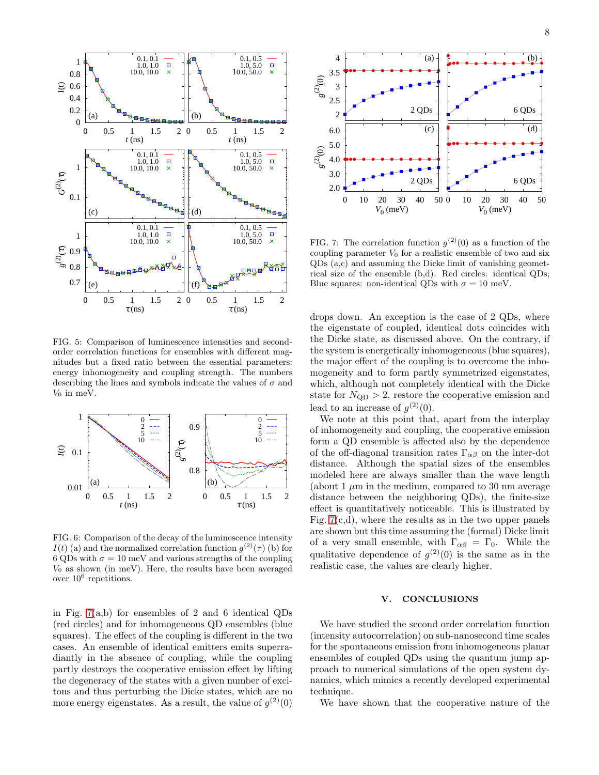

<span id="page-7-1"></span>FIG. 5: Comparison of luminescence intensities and secondorder correlation functions for ensembles with different magnitudes but a fixed ratio between the essential parameters: energy inhomogeneity and coupling strength. The numbers describing the lines and symbols indicate the values of  $\sigma$  and  $V_0$  in meV.



<span id="page-7-2"></span>FIG. 6: Comparison of the decay of the luminescence intensity  $I(t)$  (a) and the normalized correlation function  $g^{(2)}(\tau)$  (b) for 6 QDs with  $\sigma = 10$  meV and various strengths of the coupling  $V_0$  as shown (in meV). Here, the results have been averaged over  $10^6$  repetitions.

in Fig. [7\(](#page-7-3)a,b) for ensembles of 2 and 6 identical QDs (red circles) and for inhomogeneous QD ensembles (blue squares). The effect of the coupling is different in the two cases. An ensemble of identical emitters emits superradiantly in the absence of coupling, while the coupling partly destroys the cooperative emission effect by lifting the degeneracy of the states with a given number of excitons and thus perturbing the Dicke states, which are no more energy eigenstates. As a result, the value of  $g^{(2)}(0)$ 



<span id="page-7-3"></span>FIG. 7: The correlation function  $g^{(2)}(0)$  as a function of the coupling parameter  $V_0$  for a realistic ensemble of two and six QDs (a,c) and assuming the Dicke limit of vanishing geometrical size of the ensemble (b,d). Red circles: identical QDs; Blue squares: non-identical QDs with  $\sigma = 10$  meV.

drops down. An exception is the case of 2 QDs, where the eigenstate of coupled, identical dots coincides with the Dicke state, as discussed above. On the contrary, if the system is energetically inhomogeneous (blue squares), the major effect of the coupling is to overcome the inhomogeneity and to form partly symmetrized eigenstates, which, although not completely identical with the Dicke state for  $N_{\rm QD} > 2$ , restore the cooperative emission and lead to an increase of  $g^{(2)}(0)$ .

We note at this point that, apart from the interplay of inhomogeneity and coupling, the cooperative emission form a QD ensemble is affected also by the dependence of the off-diagonal transition rates  $\Gamma_{\alpha\beta}$  on the inter-dot distance. Although the spatial sizes of the ensembles modeled here are always smaller than the wave length (about 1  $\mu$ m in the medium, compared to 30 nm average distance between the neighboring QDs), the finite-size effect is quantitatively noticeable. This is illustrated by Fig.  $7(c,d)$ , where the results as in the two upper panels are shown but this time assuming the (formal) Dicke limit of a very small ensemble, with  $\Gamma_{\alpha\beta} = \Gamma_0$ . While the qualitative dependence of  $g^{(2)}(0)$  is the same as in the realistic case, the values are clearly higher.

## <span id="page-7-0"></span>V. CONCLUSIONS

We have studied the second order correlation function (intensity autocorrelation) on sub-nanosecond time scales for the spontaneous emission from inhomogeneous planar ensembles of coupled QDs using the quantum jump approach to numerical simulations of the open system dynamics, which mimics a recently developed experimental technique.

We have shown that the cooperative nature of the